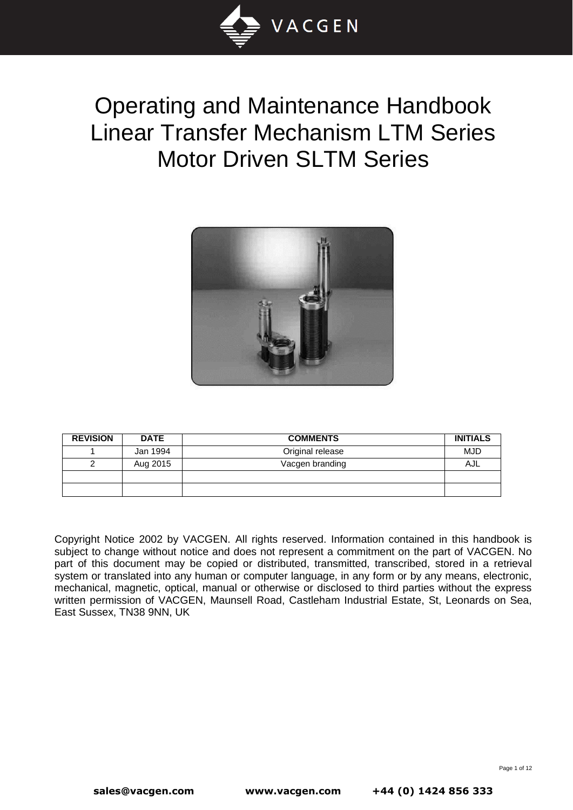

# Operating and Maintenance Handbook Linear Transfer Mechanism LTM Series Motor Driven SLTM Series



| <b>REVISION</b> | <b>DATE</b> | <b>COMMENTS</b>  | <b>INITIALS</b> |
|-----------------|-------------|------------------|-----------------|
|                 | Jan 1994    | Original release | <b>MJD</b>      |
|                 | Aug 2015    | Vacgen branding  | AJL             |
|                 |             |                  |                 |
|                 |             |                  |                 |

Copyright Notice 2002 by VACGEN. All rights reserved. Information contained in this handbook is subject to change without notice and does not represent a commitment on the part of VACGEN. No part of this document may be copied or distributed, transmitted, transcribed, stored in a retrieval system or translated into any human or computer language, in any form or by any means, electronic, mechanical, magnetic, optical, manual or otherwise or disclosed to third parties without the express written permission of VACGEN, Maunsell Road, Castleham Industrial Estate, St, Leonards on Sea, East Sussex, TN38 9NN, UK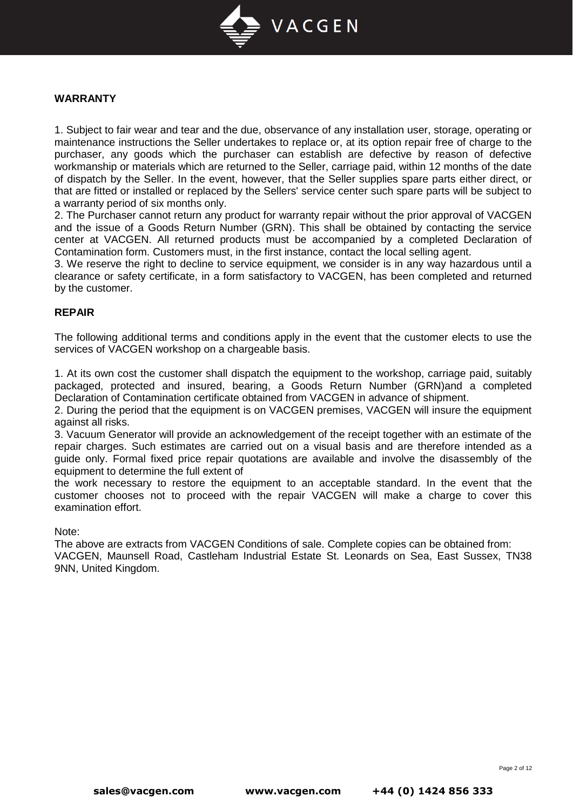

#### **WARRANTY**

1. Subject to fair wear and tear and the due, observance of any installation user, storage, operating or maintenance instructions the Seller undertakes to replace or, at its option repair free of charge to the purchaser, any goods which the purchaser can establish are defective by reason of defective workmanship or materials which are returned to the Seller, carriage paid, within 12 months of the date of dispatch by the Seller. In the event, however, that the Seller supplies spare parts either direct, or that are fitted or installed or replaced by the Sellers' service center such spare parts will be subject to a warranty period of six months only.

2. The Purchaser cannot return any product for warranty repair without the prior approval of VACGEN and the issue of a Goods Return Number (GRN). This shall be obtained by contacting the service center at VACGEN. All returned products must be accompanied by a completed Declaration of Contamination form. Customers must, in the first instance, contact the local selling agent.

3. We reserve the right to decline to service equipment, we consider is in any way hazardous until a clearance or safety certificate, in a form satisfactory to VACGEN, has been completed and returned by the customer.

## **REPAIR**

The following additional terms and conditions apply in the event that the customer elects to use the services of VACGEN workshop on a chargeable basis.

1. At its own cost the customer shall dispatch the equipment to the workshop, carriage paid, suitably packaged, protected and insured, bearing, a Goods Return Number (GRN)and a completed Declaration of Contamination certificate obtained from VACGEN in advance of shipment.

2. During the period that the equipment is on VACGEN premises, VACGEN will insure the equipment against all risks.

3. Vacuum Generator will provide an acknowledgement of the receipt together with an estimate of the repair charges. Such estimates are carried out on a visual basis and are therefore intended as a guide only. Formal fixed price repair quotations are available and involve the disassembly of the equipment to determine the full extent of

the work necessary to restore the equipment to an acceptable standard. In the event that the customer chooses not to proceed with the repair VACGEN will make a charge to cover this examination effort.

#### Note:

The above are extracts from VACGEN Conditions of sale. Complete copies can be obtained from: VACGEN, Maunsell Road, Castleham Industrial Estate St. Leonards on Sea, East Sussex, TN38 9NN, United Kingdom.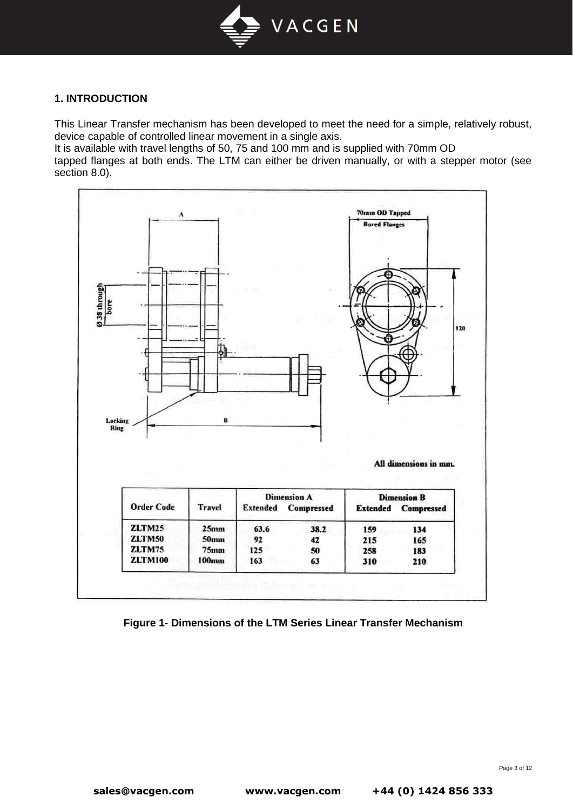

## **1. INTRODUCTION**

This Linear Transfer mechanism has been developed to meet the need for a simple, relatively robust, device capable of controlled linear movement in a single axis.

It is available with travel lengths of 50, 75 and 100 mm and is supplied with 70mm OD

tapped flanges at both ends. The LTM can either be driven manually, or with a stepper motor (see section 8.0).



**Figure 1- Dimensions of the LTM Series Linear Transfer Mechanism**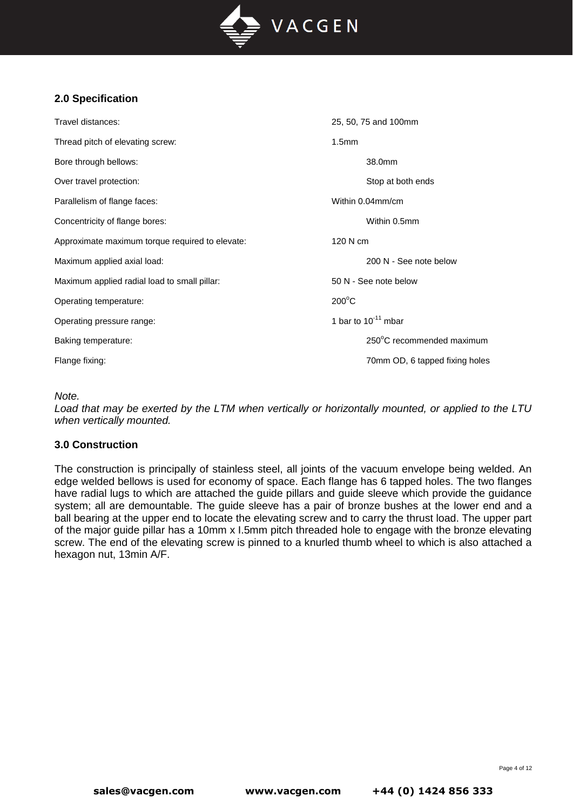

# **2.0 Specification**

| Travel distances:                               | 25, 50, 75 and 100mm           |
|-------------------------------------------------|--------------------------------|
| Thread pitch of elevating screw:                | 1.5 <sub>mm</sub>              |
| Bore through bellows:                           | 38.0mm                         |
| Over travel protection:                         | Stop at both ends              |
| Parallelism of flange faces:                    | Within 0.04mm/cm               |
| Concentricity of flange bores:                  | Within 0.5mm                   |
| Approximate maximum torque required to elevate: | 120 N cm                       |
| Maximum applied axial load:                     | 200 N - See note below         |
| Maximum applied radial load to small pillar:    | 50 N - See note below          |
| Operating temperature:                          | $200^{\circ}$ C                |
| Operating pressure range:                       | 1 bar to $10^{-11}$ mbar       |
| Baking temperature:                             | 250°C recommended maximum      |
| Flange fixing:                                  | 70mm OD, 6 tapped fixing holes |

*Note.*

*Load that may be exerted by the LTM when vertically or horizontally mounted, or applied to the LTU when vertically mounted.*

# **3.0 Construction**

The construction is principally of stainless steel, all joints of the vacuum envelope being welded. An edge welded bellows is used for economy of space. Each flange has 6 tapped holes. The two flanges have radial lugs to which are attached the guide pillars and guide sleeve which provide the guidance system; all are demountable. The guide sleeve has a pair of bronze bushes at the lower end and a ball bearing at the upper end to locate the elevating screw and to carry the thrust load. The upper part of the major guide pillar has a 10mm x I.5mm pitch threaded hole to engage with the bronze elevating screw. The end of the elevating screw is pinned to a knurled thumb wheel to which is also attached a hexagon nut, 13min A/F.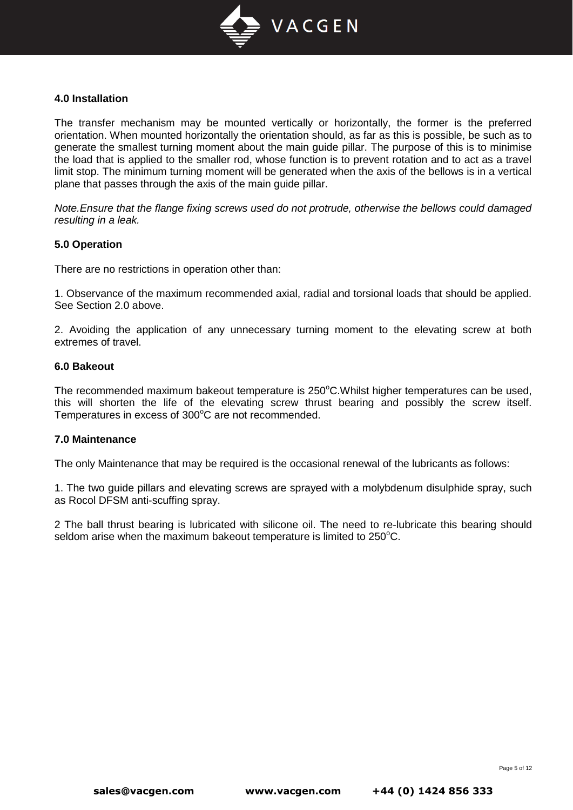

### **4.0 Installation**

The transfer mechanism may be mounted vertically or horizontally, the former is the preferred orientation. When mounted horizontally the orientation should, as far as this is possible, be such as to generate the smallest turning moment about the main guide pillar. The purpose of this is to minimise the load that is applied to the smaller rod, whose function is to prevent rotation and to act as a travel limit stop. The minimum turning moment will be generated when the axis of the bellows is in a vertical plane that passes through the axis of the main guide pillar.

*Note.Ensure that the flange fixing screws used do not protrude, otherwise the bellows could damaged resulting in a leak.*

#### **5.0 Operation**

There are no restrictions in operation other than:

1. Observance of the maximum recommended axial, radial and torsional loads that should be applied. See Section 2.0 above.

2. Avoiding the application of any unnecessary turning moment to the elevating screw at both extremes of travel.

## **6.0 Bakeout**

The recommended maximum bakeout temperature is 250°C.Whilst higher temperatures can be used, this will shorten the life of the elevating screw thrust bearing and possibly the screw itself. Temperatures in excess of 300°C are not recommended.

## **7.0 Maintenance**

The only Maintenance that may be required is the occasional renewal of the lubricants as follows:

1. The two guide pillars and elevating screws are sprayed with a molybdenum disulphide spray, such as Rocol DFSM anti-scuffing spray.

2 The ball thrust bearing is lubricated with silicone oil. The need to re-lubricate this bearing should seldom arise when the maximum bakeout temperature is limited to  $250^{\circ}$ C.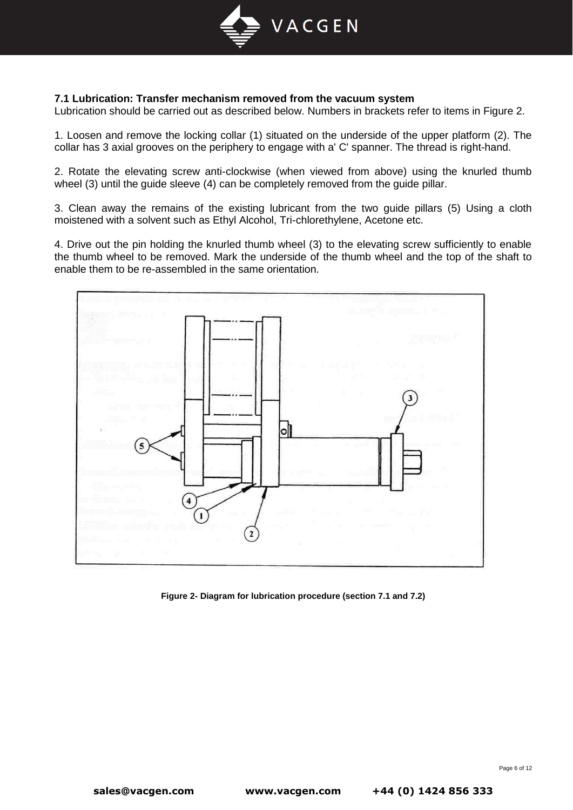

## **7.1 Lubrication: Transfer mechanism removed from the vacuum system**

Lubrication should be carried out as described below. Numbers in brackets refer to items in Figure 2.

1. Loosen and remove the locking collar (1) situated on the underside of the upper platform (2). The collar has 3 axial grooves on the periphery to engage with a' C' spanner. The thread is right-hand.

2. Rotate the elevating screw anti-clockwise (when viewed from above) using the knurled thumb wheel (3) until the guide sleeve (4) can be completely removed from the guide pillar.

3. Clean away the remains of the existing lubricant from the two guide pillars (5) Using a cloth moistened with a solvent such as Ethyl Alcohol, Tri-chlorethylene, Acetone etc.

4. Drive out the pin holding the knurled thumb wheel (3) to the elevating screw sufficiently to enable the thumb wheel to be removed. Mark the underside of the thumb wheel and the top of the shaft to enable them to be re-assembled in the same orientation.



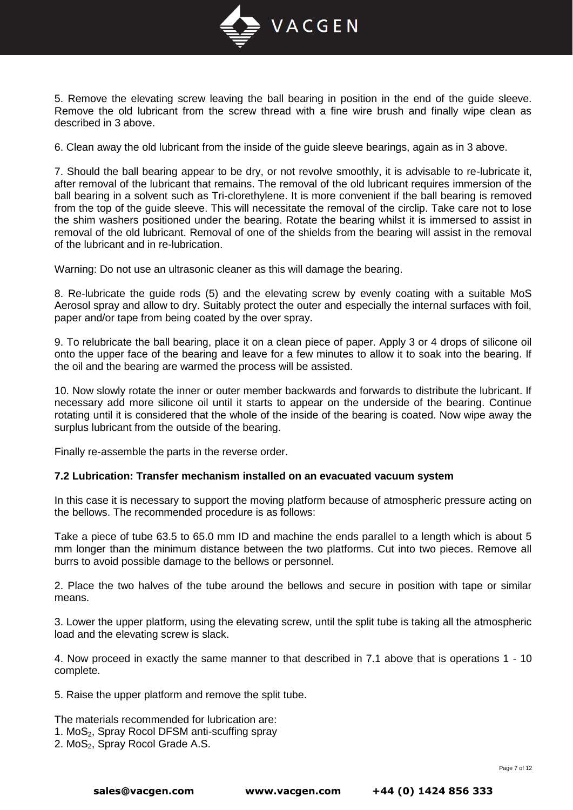

5. Remove the elevating screw leaving the ball bearing in position in the end of the guide sleeve. Remove the old lubricant from the screw thread with a fine wire brush and finally wipe clean as described in 3 above.

6. Clean away the old lubricant from the inside of the guide sleeve bearings, again as in 3 above.

7. Should the ball bearing appear to be dry, or not revolve smoothly, it is advisable to re-lubricate it, after removal of the lubricant that remains. The removal of the old lubricant requires immersion of the ball bearing in a solvent such as Tri-clorethylene. It is more convenient if the ball bearing is removed from the top of the guide sleeve. This will necessitate the removal of the circlip. Take care not to lose the shim washers positioned under the bearing. Rotate the bearing whilst it is immersed to assist in removal of the old lubricant. Removal of one of the shields from the bearing will assist in the removal of the lubricant and in re-lubrication.

Warning: Do not use an ultrasonic cleaner as this will damage the bearing.

8. Re-lubricate the guide rods (5) and the elevating screw by evenly coating with a suitable MoS Aerosol spray and allow to dry. Suitably protect the outer and especially the internal surfaces with foil, paper and/or tape from being coated by the over spray.

9. To relubricate the ball bearing, place it on a clean piece of paper. Apply 3 or 4 drops of silicone oil onto the upper face of the bearing and leave for a few minutes to allow it to soak into the bearing. If the oil and the bearing are warmed the process will be assisted.

10. Now slowly rotate the inner or outer member backwards and forwards to distribute the lubricant. If necessary add more silicone oil until it starts to appear on the underside of the bearing. Continue rotating until it is considered that the whole of the inside of the bearing is coated. Now wipe away the surplus lubricant from the outside of the bearing.

Finally re-assemble the parts in the reverse order.

#### **7.2 Lubrication: Transfer mechanism installed on an evacuated vacuum system**

In this case it is necessary to support the moving platform because of atmospheric pressure acting on the bellows. The recommended procedure is as follows:

Take a piece of tube 63.5 to 65.0 mm ID and machine the ends parallel to a length which is about 5 mm longer than the minimum distance between the two platforms. Cut into two pieces. Remove all burrs to avoid possible damage to the bellows or personnel.

2. Place the two halves of the tube around the bellows and secure in position with tape or similar means.

3. Lower the upper platform, using the elevating screw, until the split tube is taking all the atmospheric load and the elevating screw is slack.

4. Now proceed in exactly the same manner to that described in 7.1 above that is operations 1 - 10 complete.

5. Raise the upper platform and remove the split tube.

The materials recommended for lubrication are:

- 1. MoS<sub>2</sub>, Spray Rocol DFSM anti-scuffing spray
- 2. MoS<sub>2</sub>, Spray Rocol Grade A.S.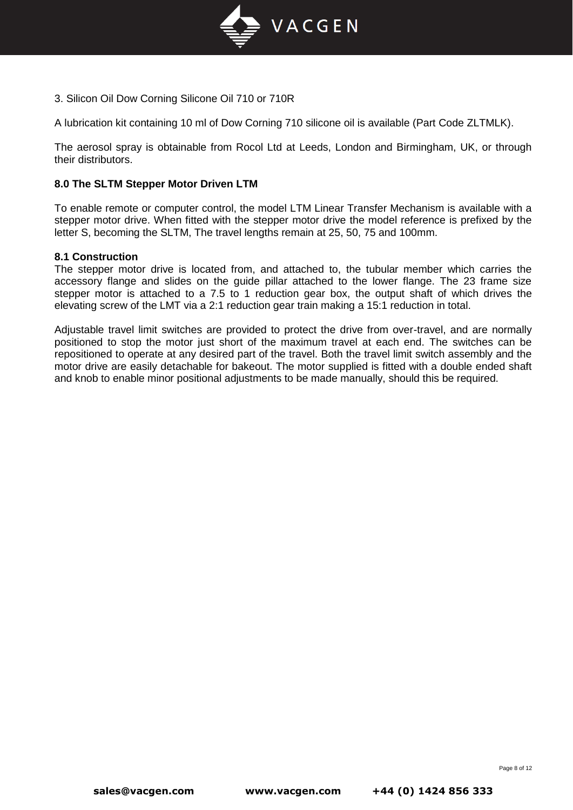

3. Silicon Oil Dow Corning Silicone Oil 710 or 710R

A lubrication kit containing 10 ml of Dow Corning 710 silicone oil is available (Part Code ZLTMLK).

The aerosol spray is obtainable from Rocol Ltd at Leeds, London and Birmingham, UK, or through their distributors.

### **8.0 The SLTM Stepper Motor Driven LTM**

To enable remote or computer control, the model LTM Linear Transfer Mechanism is available with a stepper motor drive. When fitted with the stepper motor drive the model reference is prefixed by the letter S, becoming the SLTM, The travel lengths remain at 25, 50, 75 and 100mm.

#### **8.1 Construction**

The stepper motor drive is located from, and attached to, the tubular member which carries the accessory flange and slides on the guide pillar attached to the lower flange. The 23 frame size stepper motor is attached to a 7.5 to 1 reduction gear box, the output shaft of which drives the elevating screw of the LMT via a 2:1 reduction gear train making a 15:1 reduction in total.

Adjustable travel limit switches are provided to protect the drive from over-travel, and are normally positioned to stop the motor just short of the maximum travel at each end. The switches can be repositioned to operate at any desired part of the travel. Both the travel limit switch assembly and the motor drive are easily detachable for bakeout. The motor supplied is fitted with a double ended shaft and knob to enable minor positional adjustments to be made manually, should this be required.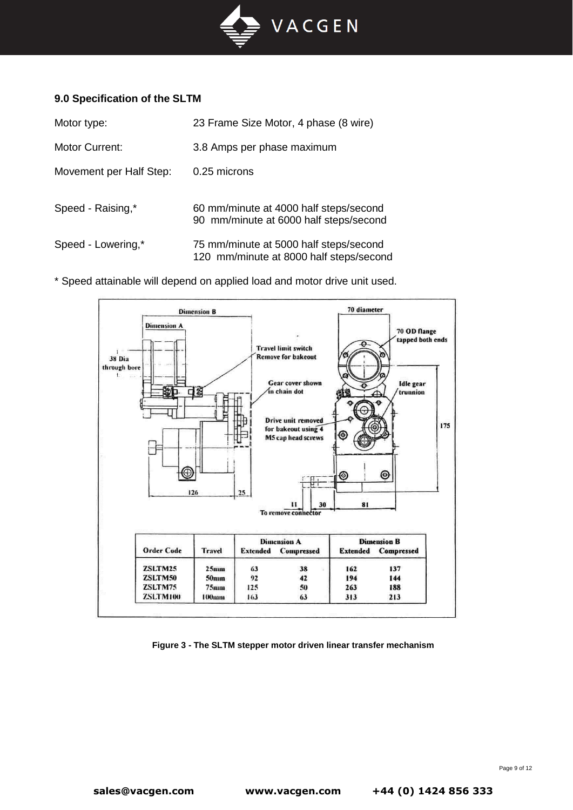

## **9.0 Specification of the SLTM**

| Motor type:             | 23 Frame Size Motor, 4 phase (8 wire)                                             |
|-------------------------|-----------------------------------------------------------------------------------|
| Motor Current:          | 3.8 Amps per phase maximum                                                        |
| Movement per Half Step: | 0.25 microns                                                                      |
| Speed - Raising,*       | 60 mm/minute at 4000 half steps/second<br>90 mm/minute at 6000 half steps/second  |
| Speed - Lowering,*      | 75 mm/minute at 5000 half steps/second<br>120 mm/minute at 8000 half steps/second |

\* Speed attainable will depend on applied load and motor drive unit used.



**Figure 3 - The SLTM stepper motor driven linear transfer mechanism**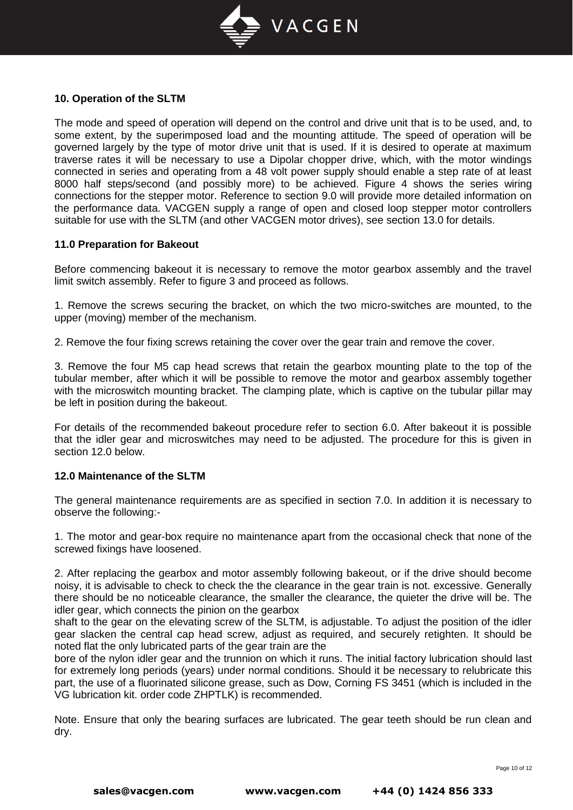

## **10. Operation of the SLTM**

The mode and speed of operation will depend on the control and drive unit that is to be used, and, to some extent, by the superimposed load and the mounting attitude. The speed of operation will be governed largely by the type of motor drive unit that is used. If it is desired to operate at maximum traverse rates it will be necessary to use a Dipolar chopper drive, which, with the motor windings connected in series and operating from a 48 volt power supply should enable a step rate of at least 8000 half steps/second (and possibly more) to be achieved. Figure 4 shows the series wiring connections for the stepper motor. Reference to section 9.0 will provide more detailed information on the performance data. VACGEN supply a range of open and closed loop stepper motor controllers suitable for use with the SLTM (and other VACGEN motor drives), see section 13.0 for details.

#### **11.0 Preparation for Bakeout**

Before commencing bakeout it is necessary to remove the motor gearbox assembly and the travel limit switch assembly. Refer to figure 3 and proceed as follows.

1. Remove the screws securing the bracket, on which the two micro-switches are mounted, to the upper (moving) member of the mechanism.

2. Remove the four fixing screws retaining the cover over the gear train and remove the cover.

3. Remove the four M5 cap head screws that retain the gearbox mounting plate to the top of the tubular member, after which it will be possible to remove the motor and gearbox assembly together with the microswitch mounting bracket. The clamping plate, which is captive on the tubular pillar may be left in position during the bakeout.

For details of the recommended bakeout procedure refer to section 6.0. After bakeout it is possible that the idler gear and microswitches may need to be adjusted. The procedure for this is given in section 12.0 below.

#### **12.0 Maintenance of the SLTM**

The general maintenance requirements are as specified in section 7.0. In addition it is necessary to observe the following:-

1. The motor and gear-box require no maintenance apart from the occasional check that none of the screwed fixings have loosened.

2. After replacing the gearbox and motor assembly following bakeout, or if the drive should become noisy, it is advisable to check to check the the clearance in the gear train is not. excessive. Generally there should be no noticeable clearance, the smaller the clearance, the quieter the drive will be. The idler gear, which connects the pinion on the gearbox

shaft to the gear on the elevating screw of the SLTM, is adjustable. To adjust the position of the idler gear slacken the central cap head screw, adjust as required, and securely retighten. It should be noted flat the only lubricated parts of the gear train are the

bore of the nylon idler gear and the trunnion on which it runs. The initial factory lubrication should last for extremely long periods (years) under normal conditions. Should it be necessary to relubricate this part, the use of a fluorinated silicone grease, such as Dow, Corning FS 3451 (which is included in the VG lubrication kit. order code ZHPTLK) is recommended.

Note. Ensure that only the bearing surfaces are lubricated. The gear teeth should be run clean and dry.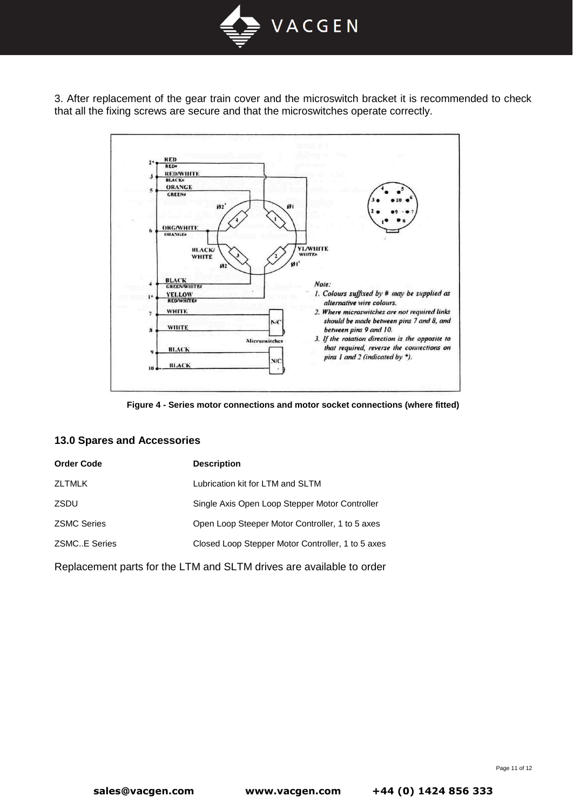

3. After replacement of the gear train cover and the microswitch bracket it is recommended to check that all the fixing screws are secure and that the microswitches operate correctly.



**Figure 4 - Series motor connections and motor socket connections (where fitted)**

#### **13.0 Spares and Accessories**

| <b>Order Code</b>   | <b>Description</b>                                |
|---------------------|---------------------------------------------------|
| <b>ZLTMLK</b>       | Lubrication kit for LTM and SLTM                  |
| ZSDU                | Single Axis Open Loop Stepper Motor Controller    |
| <b>ZSMC Series</b>  | Open Loop Steeper Motor Controller, 1 to 5 axes   |
| <b>ZSMCE Series</b> | Closed Loop Stepper Motor Controller, 1 to 5 axes |
|                     |                                                   |

Replacement parts for the LTM and SLTM drives are available to order